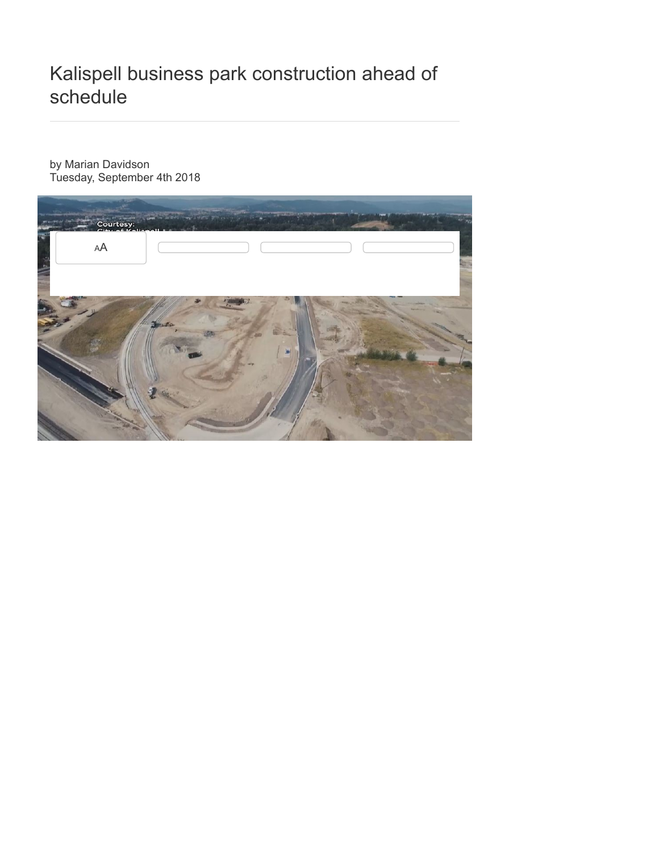## Kalispell business park construction ahead of schedule

by Marian Davidson Tuesday, September 4th 2018

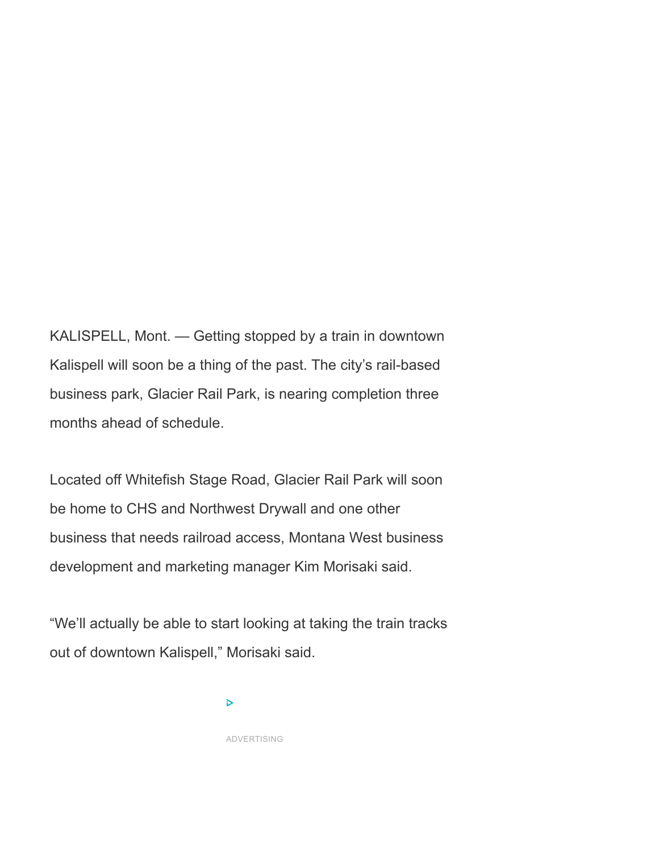KALISPELL, Mont. — Getting stopped by a train in downtown Kalispell will soon be a thing of the past. The city's rail-based business park, Glacier Rail Park, is nearing completion three months ahead of schedule.

Located off Whitefish Stage Road, Glacier Rail Park will soon be home to CHS and Northwest Drywall and one other business that needs railroad access, Montana West business development and marketing manager Kim Morisaki said.

"We'll actually be able to start looking at taking the train tracks out of downtown Kalispell," Morisaki said.

 $\triangleright$ 

ADVERTISING